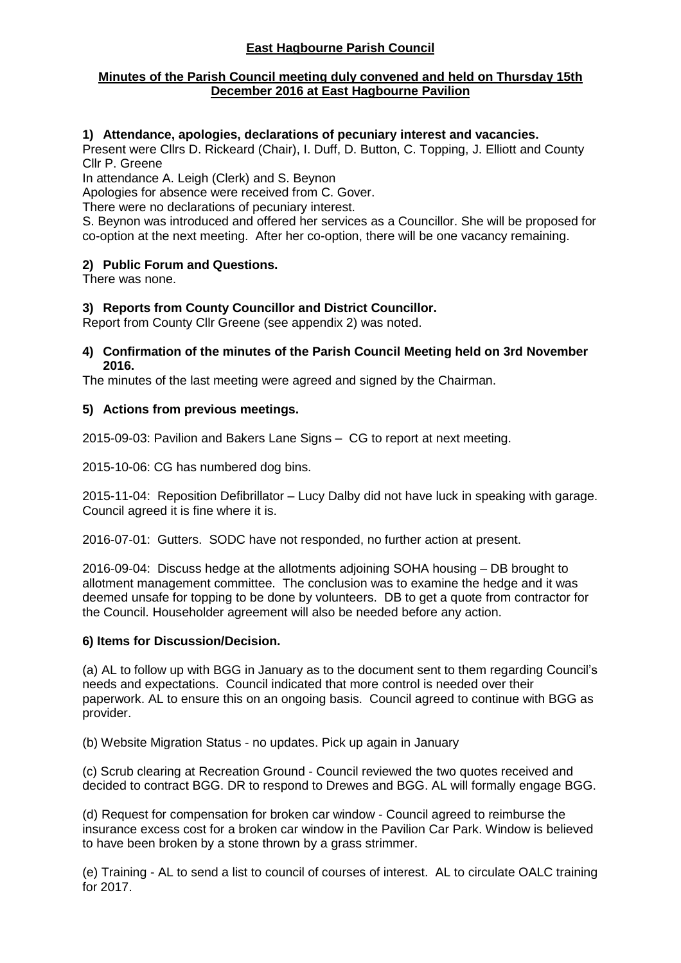## **East Hagbourne Parish Council**

### **Minutes of the Parish Council meeting duly convened and held on Thursday 15th December 2016 at East Hagbourne Pavilion**

### **1) Attendance, apologies, declarations of pecuniary interest and vacancies.**

Present were Cllrs D. Rickeard (Chair), I. Duff, D. Button, C. Topping, J. Elliott and County Cllr P. Greene

In attendance A. Leigh (Clerk) and S. Beynon

Apologies for absence were received from C. Gover.

There were no declarations of pecuniary interest.

S. Beynon was introduced and offered her services as a Councillor. She will be proposed for co-option at the next meeting. After her co-option, there will be one vacancy remaining.

### **2) Public Forum and Questions.**

There was none.

### **3) Reports from County Councillor and District Councillor.**

Report from County Cllr Greene (see appendix 2) was noted.

#### **4) Confirmation of the minutes of the Parish Council Meeting held on 3rd November 2016.**

The minutes of the last meeting were agreed and signed by the Chairman.

### **5) Actions from previous meetings.**

2015-09-03: Pavilion and Bakers Lane Signs – CG to report at next meeting.

2015-10-06: CG has numbered dog bins.

2015-11-04: Reposition Defibrillator – Lucy Dalby did not have luck in speaking with garage. Council agreed it is fine where it is.

2016-07-01: Gutters. SODC have not responded, no further action at present.

2016-09-04: Discuss hedge at the allotments adjoining SOHA housing – DB brought to allotment management committee. The conclusion was to examine the hedge and it was deemed unsafe for topping to be done by volunteers. DB to get a quote from contractor for the Council. Householder agreement will also be needed before any action.

### **6) Items for Discussion/Decision.**

(a) AL to follow up with BGG in January as to the document sent to them regarding Council's needs and expectations. Council indicated that more control is needed over their paperwork. AL to ensure this on an ongoing basis. Council agreed to continue with BGG as provider.

(b) Website Migration Status - no updates. Pick up again in January

(c) Scrub clearing at Recreation Ground - Council reviewed the two quotes received and decided to contract BGG. DR to respond to Drewes and BGG. AL will formally engage BGG.

(d) Request for compensation for broken car window - Council agreed to reimburse the insurance excess cost for a broken car window in the Pavilion Car Park. Window is believed to have been broken by a stone thrown by a grass strimmer.

(e) Training - AL to send a list to council of courses of interest. AL to circulate OALC training for 2017.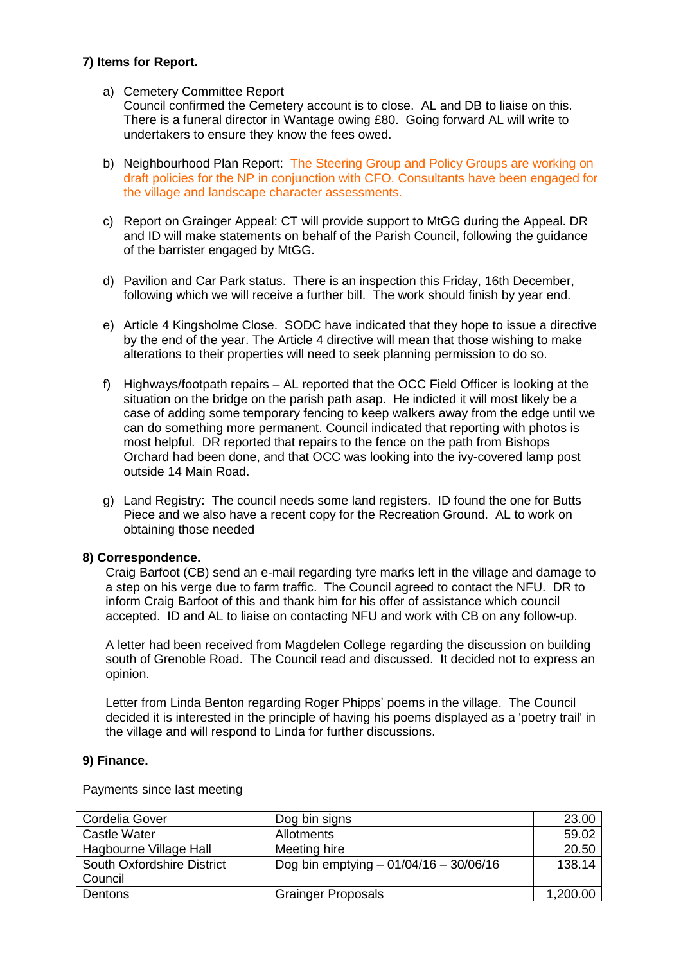### **7) Items for Report.**

a) Cemetery Committee Report

Council confirmed the Cemetery account is to close. AL and DB to liaise on this. There is a funeral director in Wantage owing £80. Going forward AL will write to undertakers to ensure they know the fees owed.

- b) Neighbourhood Plan Report: The Steering Group and Policy Groups are working on draft policies for the NP in conjunction with CFO. Consultants have been engaged for the village and landscape character assessments.
- c) Report on Grainger Appeal: CT will provide support to MtGG during the Appeal. DR and ID will make statements on behalf of the Parish Council, following the guidance of the barrister engaged by MtGG.
- d) Pavilion and Car Park status. There is an inspection this Friday, 16th December, following which we will receive a further bill. The work should finish by year end.
- e) Article 4 Kingsholme Close. SODC have indicated that they hope to issue a directive by the end of the year. The Article 4 directive will mean that those wishing to make alterations to their properties will need to seek planning permission to do so.
- f) Highways/footpath repairs AL reported that the OCC Field Officer is looking at the situation on the bridge on the parish path asap. He indicted it will most likely be a case of adding some temporary fencing to keep walkers away from the edge until we can do something more permanent. Council indicated that reporting with photos is most helpful. DR reported that repairs to the fence on the path from Bishops Orchard had been done, and that OCC was looking into the ivy-covered lamp post outside 14 Main Road.
- g) Land Registry: The council needs some land registers. ID found the one for Butts Piece and we also have a recent copy for the Recreation Ground. AL to work on obtaining those needed

### **8) Correspondence.**

Craig Barfoot (CB) send an e-mail regarding tyre marks left in the village and damage to a step on his verge due to farm traffic. The Council agreed to contact the NFU. DR to inform Craig Barfoot of this and thank him for his offer of assistance which council accepted. ID and AL to liaise on contacting NFU and work with CB on any follow-up.

A letter had been received from Magdelen College regarding the discussion on building south of Grenoble Road. The Council read and discussed. It decided not to express an opinion.

Letter from Linda Benton regarding Roger Phipps' poems in the village. The Council decided it is interested in the principle of having his poems displayed as a 'poetry trail' in the village and will respond to Linda for further discussions.

#### **9) Finance.**

Payments since last meeting

| Cordelia Gover             | Dog bin signs                           | 23.00    |
|----------------------------|-----------------------------------------|----------|
| Castle Water               | Allotments                              | 59.02    |
| Hagbourne Village Hall     | Meeting hire                            | 20.50    |
| South Oxfordshire District | Dog bin emptying $-01/04/16 - 30/06/16$ | 138.14   |
| Council                    |                                         |          |
| Dentons                    | <b>Grainger Proposals</b>               | 1,200.00 |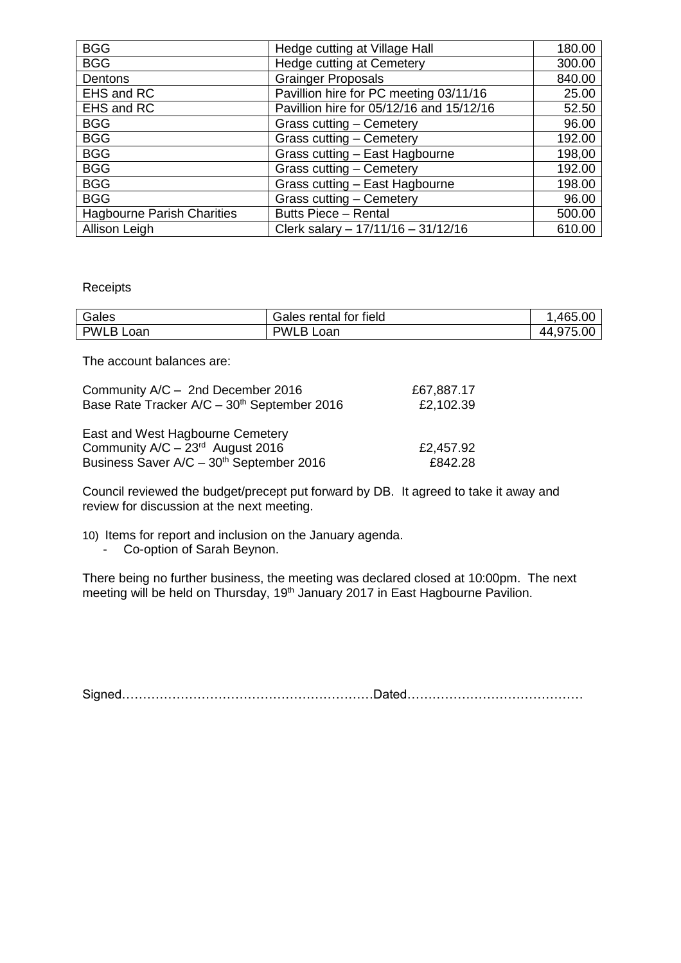| <b>BGG</b>                        | Hedge cutting at Village Hall            | 180.00 |
|-----------------------------------|------------------------------------------|--------|
| <b>BGG</b>                        | Hedge cutting at Cemetery                | 300.00 |
| Dentons                           | <b>Grainger Proposals</b>                | 840.00 |
| EHS and RC                        | Pavillion hire for PC meeting 03/11/16   | 25.00  |
| EHS and RC                        | Pavillion hire for 05/12/16 and 15/12/16 | 52.50  |
| <b>BGG</b>                        | Grass cutting - Cemetery                 | 96.00  |
| <b>BGG</b>                        | Grass cutting - Cemetery                 | 192.00 |
| <b>BGG</b>                        | Grass cutting - East Hagbourne           | 198,00 |
| <b>BGG</b>                        | Grass cutting - Cemetery                 | 192.00 |
| <b>BGG</b>                        | Grass cutting - East Hagbourne           | 198.00 |
| <b>BGG</b>                        | Grass cutting - Cemetery                 | 96.00  |
| <b>Hagbourne Parish Charities</b> | <b>Butts Piece - Rental</b>              | 500.00 |
| Allison Leigh                     | Clerk salary - 17/11/16 - 31/12/16       | 610.00 |

#### Receipts

| Gales            | Gales rental for field | .465.00   |
|------------------|------------------------|-----------|
| <b>PWLB Loan</b> | <b>PWLB Loan</b>       | 44,975.00 |

The account balances are:

| Community A/C - 2nd December 2016                       | £67,887.17 |
|---------------------------------------------------------|------------|
| Base Rate Tracker A/C - 30 <sup>th</sup> September 2016 | £2,102.39  |
|                                                         |            |
| East and West Hagbourne Cemetery                        |            |
| Community $A/C - 23rd$ August 2016                      | £2,457.92  |
| Business Saver A/C - 30 <sup>th</sup> September 2016    | £842.28    |

Council reviewed the budget/precept put forward by DB. It agreed to take it away and review for discussion at the next meeting.

10) Items for report and inclusion on the January agenda.

- Co-option of Sarah Beynon.

There being no further business, the meeting was declared closed at 10:00pm. The next meeting will be held on Thursday, 19<sup>th</sup> January 2017 in East Hagbourne Pavilion.

Signed……………………………………………………Dated……………………………………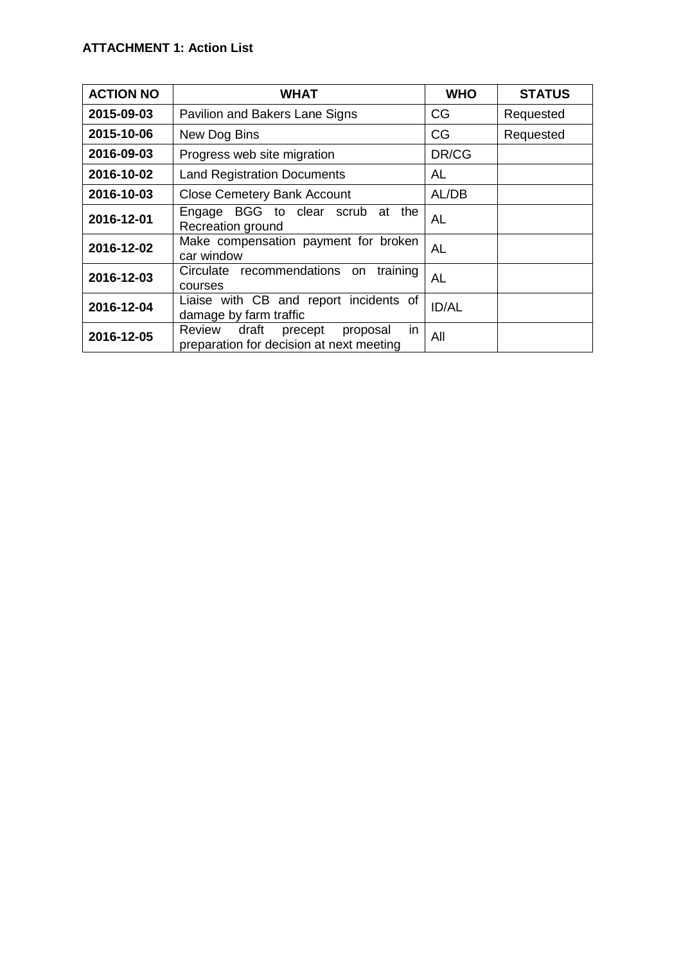| <b>ACTION NO</b> | <b>WHAT</b>                                                                              | <b>WHO</b>   | <b>STATUS</b> |
|------------------|------------------------------------------------------------------------------------------|--------------|---------------|
| 2015-09-03       | Pavilion and Bakers Lane Signs                                                           | CG           | Requested     |
| 2015-10-06       | New Dog Bins                                                                             | CG           | Requested     |
| 2016-09-03       | Progress web site migration                                                              | DR/CG        |               |
| 2016-10-02       | <b>Land Registration Documents</b>                                                       | AL           |               |
| 2016-10-03       | <b>Close Cemetery Bank Account</b>                                                       | AL/DB        |               |
| 2016-12-01       | BGG to clear<br>the<br>scrub<br>Engage<br>at<br>Recreation ground                        | <b>AL</b>    |               |
| 2016-12-02       | Make compensation payment for broken<br>car window                                       | <b>AL</b>    |               |
| 2016-12-03       | Circulate recommendations on<br>training<br>courses                                      | <b>AL</b>    |               |
| 2016-12-04       | Liaise with CB and report incidents of<br>damage by farm traffic                         | <b>ID/AL</b> |               |
| 2016-12-05       | in<br>draft<br>Review<br>precept<br>proposal<br>preparation for decision at next meeting | All          |               |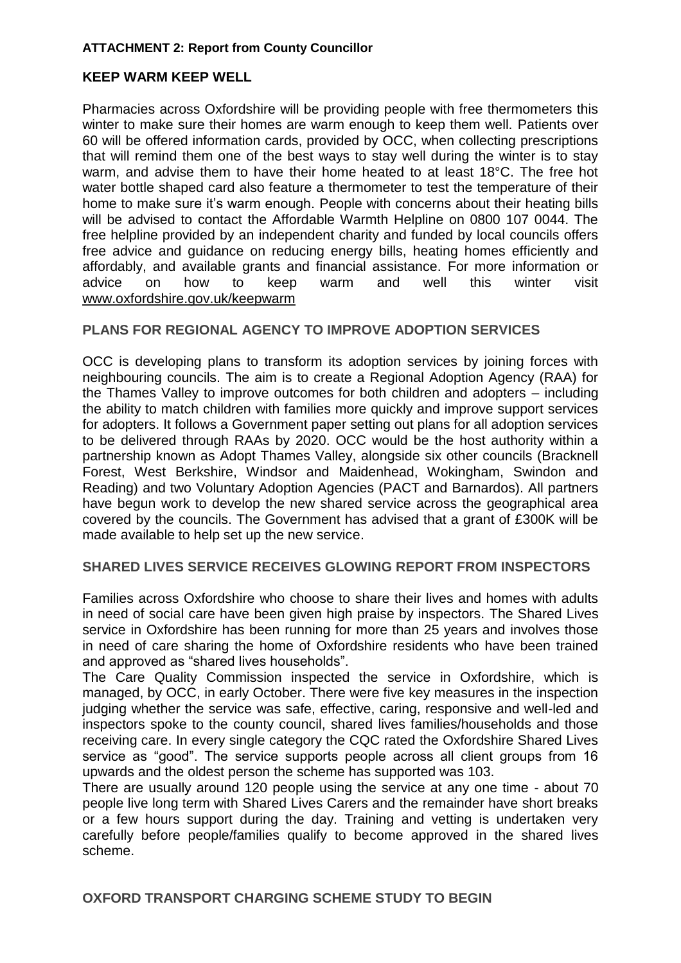## **ATTACHMENT 2: Report from County Councillor**

# **KEEP WARM KEEP WELL**

Pharmacies across Oxfordshire will be providing people with free thermometers this winter to make sure their homes are warm enough to keep them well. Patients over 60 will be offered information cards, provided by OCC, when collecting prescriptions that will remind them one of the best ways to stay well during the winter is to stay warm, and advise them to have their home heated to at least 18°C. The free hot water bottle shaped card also feature a thermometer to test the temperature of their home to make sure it's warm enough. People with concerns about their heating bills will be advised to contact the Affordable Warmth Helpline on 0800 107 0044. The free helpline provided by an independent charity and funded by local councils offers free advice and guidance on reducing energy bills, heating homes efficiently and affordably, and available grants and financial assistance. For more information or advice on how to keep warm and well this winter visit [www.oxfordshire.gov.uk/keepwarm](http://www.oxfordshire.gov.uk/keepwarm)

# **PLANS FOR REGIONAL AGENCY TO IMPROVE ADOPTION SERVICES**

OCC is developing plans to transform its adoption services by joining forces with neighbouring councils. The aim is to create a Regional Adoption Agency (RAA) for the Thames Valley to improve outcomes for both children and adopters – including the ability to match children with families more quickly and improve support services for adopters. It follows a Government paper setting out plans for all adoption services to be delivered through RAAs by 2020. OCC would be the host authority within a partnership known as Adopt Thames Valley, alongside six other councils (Bracknell Forest, West Berkshire, Windsor and Maidenhead, Wokingham, Swindon and Reading) and two Voluntary Adoption Agencies (PACT and Barnardos). All partners have begun work to develop the new shared service across the geographical area covered by the councils. The Government has advised that a grant of £300K will be made available to help set up the new service.

## **SHARED LIVES SERVICE RECEIVES GLOWING REPORT FROM INSPECTORS**

Families across Oxfordshire who choose to share their lives and homes with adults in need of social care have been given high praise by inspectors. The Shared Lives service in Oxfordshire has been running for more than 25 years and involves those in need of care sharing the home of Oxfordshire residents who have been trained and approved as "shared lives households".

The Care Quality Commission inspected the service in Oxfordshire, which is managed, by OCC, in early October. There were five key measures in the inspection judging whether the service was safe, effective, caring, responsive and well-led and inspectors spoke to the county council, shared lives families/households and those receiving care. In every single category the CQC rated the Oxfordshire Shared Lives service as "good". The service supports people across all client groups from 16 upwards and the oldest person the scheme has supported was 103.

There are usually around 120 people using the service at any one time - about 70 people live long term with Shared Lives Carers and the remainder have short breaks or a few hours support during the day. Training and vetting is undertaken very carefully before people/families qualify to become approved in the shared lives scheme.